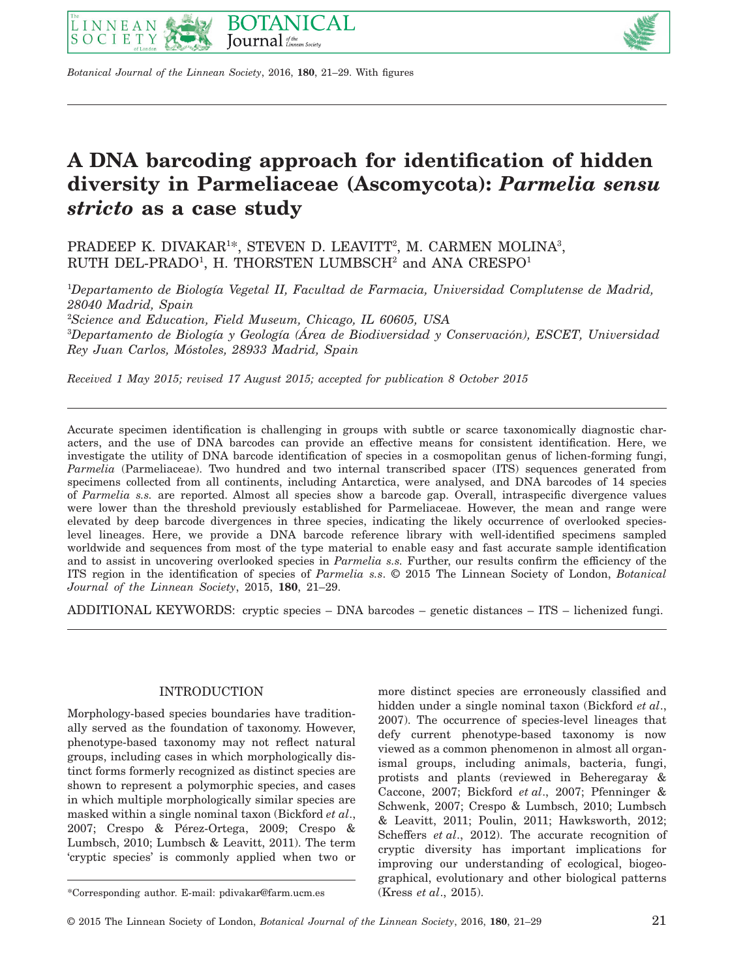



*Botanical Journal of the Linnean Society*, 2016, **180**, 21–29. With figures

# **A DNA barcoding approach for identification of hidden diversity in Parmeliaceae (Ascomycota):** *Parmelia sensu stricto* **as a case study**

PRADEEP K. DIVAKAR<sup>1\*</sup>, STEVEN D. LEAVITT<sup>2</sup>, M. CARMEN MOLINA<sup>3</sup>, RUTH DEL-PRADO<sup>1</sup>, H. THORSTEN LUMBSCH<sup>2</sup> and ANA CRESPO<sup>1</sup>

1 *Departamento de Biología Vegetal II, Facultad de Farmacia, Universidad Complutense de Madrid, 28040 Madrid, Spain* 2 *Science and Education, Field Museum, Chicago, IL 60605, USA* 3 *Departamento de Biología y Geología (Área de Biodiversidad y Conservación), ESCET, Universidad Rey Juan Carlos, Móstoles, 28933 Madrid, Spain*

*Received 1 May 2015; revised 17 August 2015; accepted for publication 8 October 2015*

Accurate specimen identification is challenging in groups with subtle or scarce taxonomically diagnostic characters, and the use of DNA barcodes can provide an effective means for consistent identification. Here, we investigate the utility of DNA barcode identification of species in a cosmopolitan genus of lichen-forming fungi, *Parmelia* (Parmeliaceae). Two hundred and two internal transcribed spacer (ITS) sequences generated from specimens collected from all continents, including Antarctica, were analysed, and DNA barcodes of 14 species of *Parmelia s.s.* are reported. Almost all species show a barcode gap. Overall, intraspecific divergence values were lower than the threshold previously established for Parmeliaceae. However, the mean and range were elevated by deep barcode divergences in three species, indicating the likely occurrence of overlooked specieslevel lineages. Here, we provide a DNA barcode reference library with well-identified specimens sampled worldwide and sequences from most of the type material to enable easy and fast accurate sample identification and to assist in uncovering overlooked species in *Parmelia s.s.* Further, our results confirm the efficiency of the ITS region in the identification of species of *Parmelia s.s*. © 2015 The Linnean Society of London, *Botanical Journal of the Linnean Society*, 2015, **180**, 21–29.

ADDITIONAL KEYWORDS: cryptic species – DNA barcodes – genetic distances – ITS – lichenized fungi.

# INTRODUCTION

Morphology-based species boundaries have traditionally served as the foundation of taxonomy. However, phenotype-based taxonomy may not reflect natural groups, including cases in which morphologically distinct forms formerly recognized as distinct species are shown to represent a polymorphic species, and cases in which multiple morphologically similar species are masked within a single nominal taxon (Bickford *et al*., 2007; Crespo & Pérez-Ortega, 2009; Crespo & Lumbsch, 2010; Lumbsch & Leavitt, 2011). The term 'cryptic species' is commonly applied when two or more distinct species are erroneously classified and hidden under a single nominal taxon (Bickford *et al*., 2007). The occurrence of species-level lineages that defy current phenotype-based taxonomy is now viewed as a common phenomenon in almost all organismal groups, including animals, bacteria, fungi, protists and plants (reviewed in Beheregaray & Caccone, 2007; Bickford *et al*., 2007; Pfenninger & Schwenk, 2007; Crespo & Lumbsch, 2010; Lumbsch & Leavitt, 2011; Poulin, 2011; Hawksworth, 2012; Scheffers *et al*., 2012). The accurate recognition of cryptic diversity has important implications for improving our understanding of ecological, biogeographical, evolutionary and other biological patterns

<sup>\*</sup>Corresponding author. E-mail: [pdivakar@farm.ucm.es](mailto:pdivakar@farm.ucm.es) (Kress *et al*., 2015).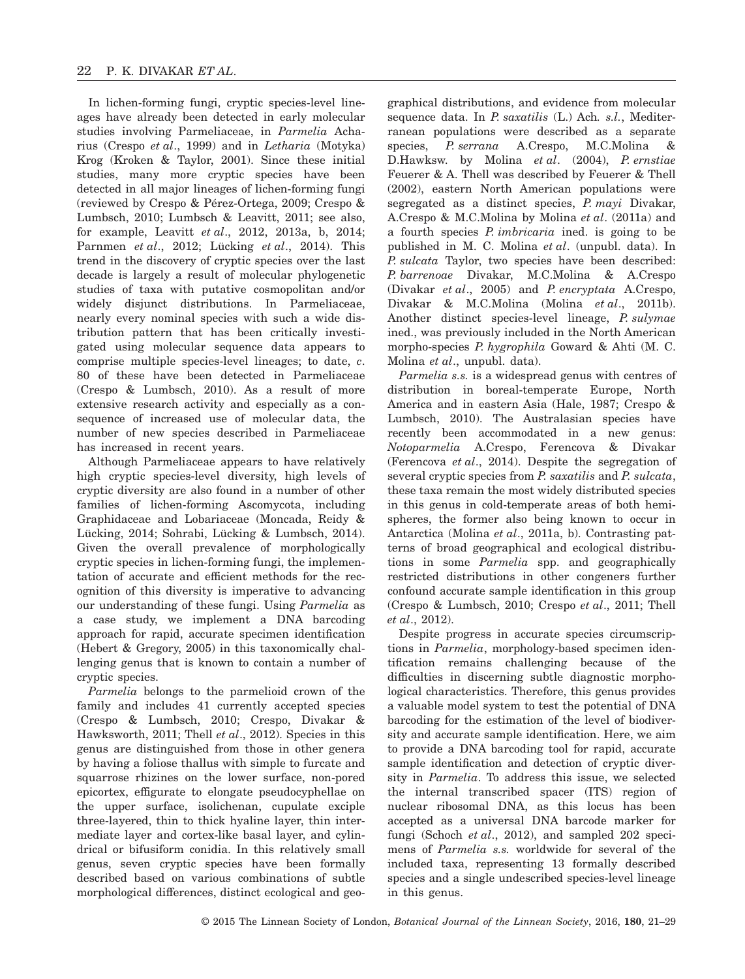In lichen-forming fungi, cryptic species-level lineages have already been detected in early molecular studies involving Parmeliaceae, in *Parmelia* Acharius (Crespo *et al*., 1999) and in *Letharia* (Motyka) Krog (Kroken & Taylor, 2001). Since these initial studies, many more cryptic species have been detected in all major lineages of lichen-forming fungi (reviewed by Crespo & Pérez-Ortega, 2009; Crespo & Lumbsch, 2010; Lumbsch & Leavitt, 2011; see also, for example, Leavitt *et al*., 2012, 2013a, b, 2014; Parnmen *et al*., 2012; Lücking *et al*., 2014). This trend in the discovery of cryptic species over the last decade is largely a result of molecular phylogenetic studies of taxa with putative cosmopolitan and/or widely disjunct distributions. In Parmeliaceae, nearly every nominal species with such a wide distribution pattern that has been critically investigated using molecular sequence data appears to comprise multiple species-level lineages; to date, *c*. 80 of these have been detected in Parmeliaceae (Crespo & Lumbsch, 2010). As a result of more extensive research activity and especially as a consequence of increased use of molecular data, the number of new species described in Parmeliaceae has increased in recent years.

Although Parmeliaceae appears to have relatively high cryptic species-level diversity, high levels of cryptic diversity are also found in a number of other families of lichen-forming Ascomycota, including Graphidaceae and Lobariaceae (Moncada, Reidy & Lücking, 2014; Sohrabi, Lücking & Lumbsch, 2014). Given the overall prevalence of morphologically cryptic species in lichen-forming fungi, the implementation of accurate and efficient methods for the recognition of this diversity is imperative to advancing our understanding of these fungi. Using *Parmelia* as a case study, we implement a DNA barcoding approach for rapid, accurate specimen identification (Hebert & Gregory, 2005) in this taxonomically challenging genus that is known to contain a number of cryptic species.

*Parmelia* belongs to the parmelioid crown of the family and includes 41 currently accepted species (Crespo & Lumbsch, 2010; Crespo, Divakar & Hawksworth, 2011; Thell *et al*., 2012). Species in this genus are distinguished from those in other genera by having a foliose thallus with simple to furcate and squarrose rhizines on the lower surface, non-pored epicortex, effigurate to elongate pseudocyphellae on the upper surface, isolichenan, cupulate exciple three-layered, thin to thick hyaline layer, thin intermediate layer and cortex-like basal layer, and cylindrical or bifusiform conidia. In this relatively small genus, seven cryptic species have been formally described based on various combinations of subtle morphological differences, distinct ecological and geographical distributions, and evidence from molecular sequence data. In *P. saxatilis* (L.) Ach*. s.l.*, Mediterranean populations were described as a separate species, *P. serrana* A.Crespo, M.C.Molina & D.Hawksw. by Molina *et al*. (2004), *P. ernstiae* Feuerer & A. Thell was described by Feuerer & Thell (2002), eastern North American populations were segregated as a distinct species, *P. mayi* Divakar, A.Crespo & M.C.Molina by Molina *et al*. (2011a) and a fourth species *P. imbricaria* ined. is going to be published in M. C. Molina *et al*. (unpubl. data). In *P. sulcata* Taylor, two species have been described: *P. barrenoae* Divakar, M.C.Molina & A.Crespo (Divakar *et al*., 2005) and *P. encryptata* A.Crespo, Divakar & M.C.Molina (Molina *et al*., 2011b). Another distinct species-level lineage, *P. sulymae* ined., was previously included in the North American morpho-species *P. hygrophila* Goward & Ahti (M. C. Molina *et al*., unpubl. data).

*Parmelia s.s.* is a widespread genus with centres of distribution in boreal-temperate Europe, North America and in eastern Asia (Hale, 1987; Crespo & Lumbsch, 2010). The Australasian species have recently been accommodated in a new genus: *Notoparmelia* A.Crespo, Ferencova & Divakar (Ferencova *et al*., 2014). Despite the segregation of several cryptic species from *P. saxatilis* and *P. sulcata*, these taxa remain the most widely distributed species in this genus in cold-temperate areas of both hemispheres, the former also being known to occur in Antarctica (Molina *et al*., 2011a, b). Contrasting patterns of broad geographical and ecological distributions in some *Parmelia* spp. and geographically restricted distributions in other congeners further confound accurate sample identification in this group (Crespo & Lumbsch, 2010; Crespo *et al*., 2011; Thell *et al*., 2012).

Despite progress in accurate species circumscriptions in *Parmelia*, morphology-based specimen identification remains challenging because of the difficulties in discerning subtle diagnostic morphological characteristics. Therefore, this genus provides a valuable model system to test the potential of DNA barcoding for the estimation of the level of biodiversity and accurate sample identification. Here, we aim to provide a DNA barcoding tool for rapid, accurate sample identification and detection of cryptic diversity in *Parmelia*. To address this issue, we selected the internal transcribed spacer (ITS) region of nuclear ribosomal DNA, as this locus has been accepted as a universal DNA barcode marker for fungi (Schoch *et al*., 2012), and sampled 202 specimens of *Parmelia s.s.* worldwide for several of the included taxa, representing 13 formally described species and a single undescribed species-level lineage in this genus.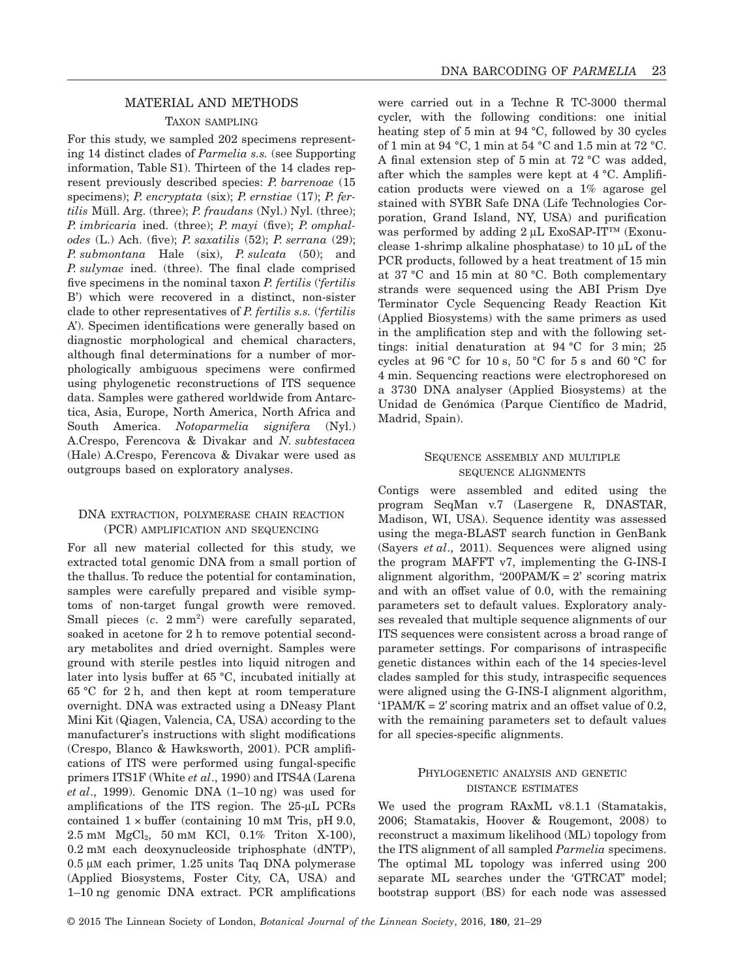# MATERIAL AND METHODS

## TAXON SAMPLING

For this study, we sampled 202 specimens representing 14 distinct clades of *Parmelia s.s.* (see Supporting information, Table S1). Thirteen of the 14 clades represent previously described species: *P. barrenoae* (15 specimens); *P. encryptata* (six); *P. ernstiae* (17); *P. fertilis* Müll. Arg. (three); *P. fraudans* (Nyl.) Nyl. (three); *P. imbricaria* ined. (three); *P. mayi* (five); *P. omphalodes* (L.) Ach. (five); *P. saxatilis* (52); *P. serrana* (29); *P. submontana* Hale (six), *P. sulcata* (50); and *P. sulymae* ined. (three). The final clade comprised five specimens in the nominal taxon *P. fertilis* ('*fertilis* B') which were recovered in a distinct, non-sister clade to other representatives of *P. fertilis s.s.* ('*fertilis* A'). Specimen identifications were generally based on diagnostic morphological and chemical characters, although final determinations for a number of morphologically ambiguous specimens were confirmed using phylogenetic reconstructions of ITS sequence data. Samples were gathered worldwide from Antarctica, Asia, Europe, North America, North Africa and South America. *Notoparmelia signifera* (Nyl.) A.Crespo, Ferencova & Divakar and *N. subtestacea* (Hale) A.Crespo, Ferencova & Divakar were used as outgroups based on exploratory analyses.

## DNA EXTRACTION, POLYMERASE CHAIN REACTION (PCR) AMPLIFICATION AND SEQUENCING

For all new material collected for this study, we extracted total genomic DNA from a small portion of the thallus. To reduce the potential for contamination, samples were carefully prepared and visible symptoms of non-target fungal growth were removed. Small pieces  $(c. 2mm^2)$  were carefully separated, soaked in acetone for 2 h to remove potential secondary metabolites and dried overnight. Samples were ground with sterile pestles into liquid nitrogen and later into lysis buffer at 65 °C, incubated initially at 65 °C for 2 h, and then kept at room temperature overnight. DNA was extracted using a DNeasy Plant Mini Kit (Qiagen, Valencia, CA, USA) according to the manufacturer's instructions with slight modifications (Crespo, Blanco & Hawksworth, 2001). PCR amplifications of ITS were performed using fungal-specific primers ITS1F (White *et al*., 1990) and ITS4A (Larena *et al*., 1999). Genomic DNA (1–10 ng) was used for amplifications of the ITS region. The 25-μL PCRs contained  $1 \times$  buffer (containing 10 mM Tris, pH 9.0, 2.5 mM MgCl2, 50 mM KCl, 0.1% Triton X-100), 0.2 mM each deoxynucleoside triphosphate (dNTP), 0.5 μM each primer, 1.25 units Taq DNA polymerase (Applied Biosystems, Foster City, CA, USA) and 1–10 ng genomic DNA extract. PCR amplifications were carried out in a Techne R TC-3000 thermal cycler, with the following conditions: one initial heating step of 5 min at 94 °C, followed by 30 cycles of 1 min at 94 °C, 1 min at 54 °C and 1.5 min at 72 °C. A final extension step of 5 min at 72 °C was added, after which the samples were kept at 4 °C. Amplification products were viewed on a 1% agarose gel stained with SYBR Safe DNA (Life Technologies Corporation, Grand Island, NY, USA) and purification was performed by adding 2 μL ExoSAP-IT™ (Exonuclease 1-shrimp alkaline phosphatase) to 10 μL of the PCR products, followed by a heat treatment of 15 min at 37 °C and 15 min at 80 °C. Both complementary strands were sequenced using the ABI Prism Dye Terminator Cycle Sequencing Ready Reaction Kit (Applied Biosystems) with the same primers as used in the amplification step and with the following settings: initial denaturation at 94 °C for 3 min; 25 cycles at 96 °C for 10 s, 50 °C for 5 s and 60 °C for 4 min. Sequencing reactions were electrophoresed on a 3730 DNA analyser (Applied Biosystems) at the Unidad de Genómica (Parque Científico de Madrid, Madrid, Spain).

# SEQUENCE ASSEMBLY AND MULTIPLE SEQUENCE ALIGNMENTS

Contigs were assembled and edited using the program SeqMan v.7 (Lasergene R, DNASTAR, Madison, WI, USA). Sequence identity was assessed using the mega-BLAST search function in GenBank (Sayers *et al*., 2011). Sequences were aligned using the program MAFFT v7, implementing the G-INS-I alignment algorithm, '200PAM/K =  $2'$  scoring matrix and with an offset value of 0.0, with the remaining parameters set to default values. Exploratory analyses revealed that multiple sequence alignments of our ITS sequences were consistent across a broad range of parameter settings. For comparisons of intraspecific genetic distances within each of the 14 species-level clades sampled for this study, intraspecific sequences were aligned using the G-INS-I alignment algorithm,  $'1PAM/K = 2'$  scoring matrix and an offset value of 0.2, with the remaining parameters set to default values for all species-specific alignments.

# PHYLOGENETIC ANALYSIS AND GENETIC DISTANCE ESTIMATES

We used the program RAxML v8.1.1 (Stamatakis, 2006; Stamatakis, Hoover & Rougemont, 2008) to reconstruct a maximum likelihood (ML) topology from the ITS alignment of all sampled *Parmelia* specimens. The optimal ML topology was inferred using 200 separate ML searches under the 'GTRCAT' model; bootstrap support (BS) for each node was assessed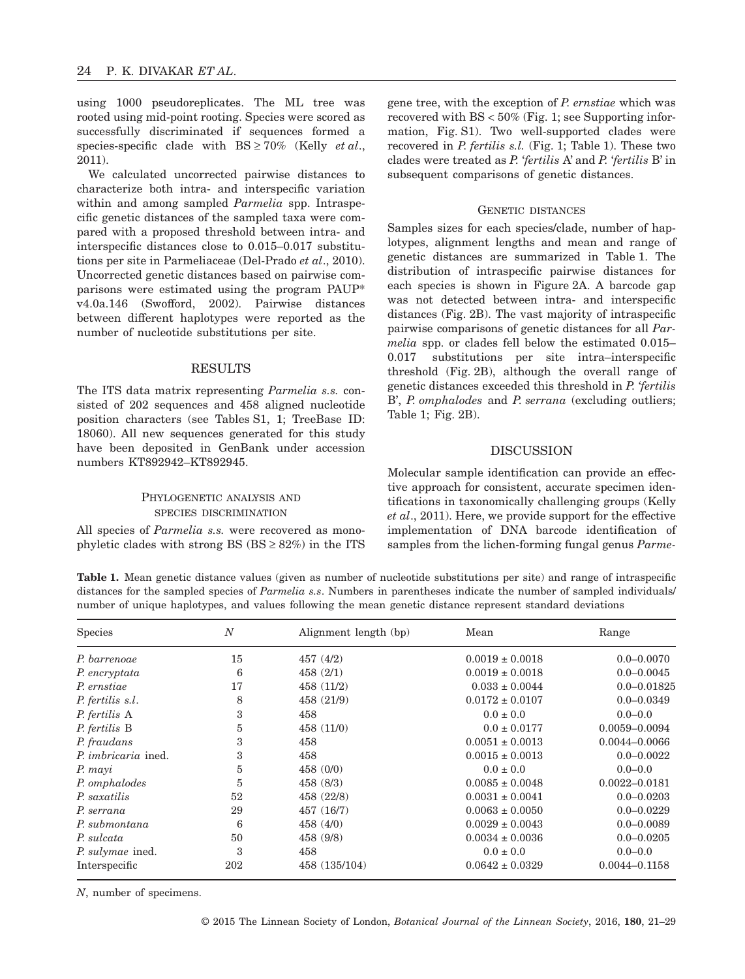using 1000 pseudoreplicates. The ML tree was rooted using mid-point rooting. Species were scored as successfully discriminated if sequences formed a species-specific clade with BS ≥ 70% (Kelly *et al*., 2011).

We calculated uncorrected pairwise distances to characterize both intra- and interspecific variation within and among sampled *Parmelia* spp. Intraspecific genetic distances of the sampled taxa were compared with a proposed threshold between intra- and interspecific distances close to 0.015–0.017 substitutions per site in Parmeliaceae (Del-Prado *et al*., 2010). Uncorrected genetic distances based on pairwise comparisons were estimated using the program PAUP\* v4.0a.146 (Swofford, 2002). Pairwise distances between different haplotypes were reported as the number of nucleotide substitutions per site.

#### **RESULTS**

The ITS data matrix representing *Parmelia s.s.* consisted of 202 sequences and 458 aligned nucleotide position characters (see Tables S1, 1; TreeBase ID: 18060). All new sequences generated for this study have been deposited in GenBank under accession numbers KT892942–KT892945.

# PHYLOGENETIC ANALYSIS AND SPECIES DISCRIMINATION

All species of *Parmelia s.s.* were recovered as monophyletic clades with strong BS  $(BS \geq 82\%)$  in the ITS gene tree, with the exception of *P. ernstiae* which was recovered with BS < 50% (Fig. 1; see Supporting information, Fig. S1). Two well-supported clades were recovered in *P. fertilis s.l.* (Fig. 1; Table 1). These two clades were treated as *P.* '*fertilis* A' and *P.* '*fertilis* B' in subsequent comparisons of genetic distances.

## GENETIC DISTANCES

Samples sizes for each species/clade, number of haplotypes, alignment lengths and mean and range of genetic distances are summarized in Table 1. The distribution of intraspecific pairwise distances for each species is shown in Figure 2A. A barcode gap was not detected between intra- and interspecific distances (Fig. 2B). The vast majority of intraspecific pairwise comparisons of genetic distances for all *Parmelia* spp. or clades fell below the estimated 0.015– 0.017 substitutions per site intra–interspecific threshold (Fig. 2B), although the overall range of genetic distances exceeded this threshold in *P.* '*fertilis* B', *P. omphalodes* and *P. serrana* (excluding outliers; Table 1; Fig. 2B).

## DISCUSSION

Molecular sample identification can provide an effective approach for consistent, accurate specimen identifications in taxonomically challenging groups (Kelly *et al*., 2011). Here, we provide support for the effective implementation of DNA barcode identification of samples from the lichen-forming fungal genus *Parme-*

**Table 1.** Mean genetic distance values (given as number of nucleotide substitutions per site) and range of intraspecific distances for the sampled species of *Parmelia s.s.* Numbers in parentheses indicate the number of sampled individuals/ number of unique haplotypes, and values following the mean genetic distance represent standard deviations

| <b>Species</b>             | $\overline{N}$ | Alignment length (bp) | Mean                | Range             |
|----------------------------|----------------|-----------------------|---------------------|-------------------|
| P. barrenoae               | 15             | 457(4/2)              | $0.0019 \pm 0.0018$ | $0.0 - 0.0070$    |
| P. encryptata              | 6              | 458(2/1)              | $0.0019 \pm 0.0018$ | $0.0 - 0.0045$    |
| P. ernstiae                | 17             | 458(11/2)             | $0.033 \pm 0.0044$  | $0.0 - 0.01825$   |
| P. fertilis s.l.           | 8              | 458 (21/9)            | $0.0172 \pm 0.0107$ | $0.0 - 0.0349$    |
| P. fertilis A              | 3              | 458                   | $0.0 \pm 0.0$       | $0.0 - 0.0$       |
| P. fertilis B              | 5              | 458(11/0)             | $0.0 \pm 0.0177$    | 0.0059-0.0094     |
| P. fraudans                | 3              | 458                   | $0.0051 \pm 0.0013$ | 0.0044-0.0066     |
| <i>P. imbricaria</i> ined. | 3              | 458                   | $0.0015 \pm 0.0013$ | $0.0 - 0.0022$    |
| P. mayi                    | 5              | 458(0/0)              | $0.0 \pm 0.0$       | $0.0 - 0.0$       |
| P. omphalodes              | 5              | 458(8/3)              | $0.0085 \pm 0.0048$ | $0.0022 - 0.0181$ |
| P. saxatilis               | 52             | 458 (22/8)            | $0.0031 \pm 0.0041$ | $0.0 - 0.0203$    |
| P. serrana                 | 29             | 457 (16/7)            | $0.0063 \pm 0.0050$ | $0.0 - 0.0229$    |
| P. submontana              | 6              | 458(4/0)              | $0.0029 \pm 0.0043$ | $0.0 - 0.0089$    |
| P. sulcata                 | 50             | 458 (9/8)             | $0.0034 \pm 0.0036$ | $0.0 - 0.0205$    |
| P. sulymae ined.           | 3              | 458                   | $0.0 \pm 0.0$       | $0.0 - 0.0$       |
| Interspecific              | 202            | 458 (135/104)         | $0.0642 \pm 0.0329$ | $0.0044 - 0.1158$ |

*N*, number of specimens.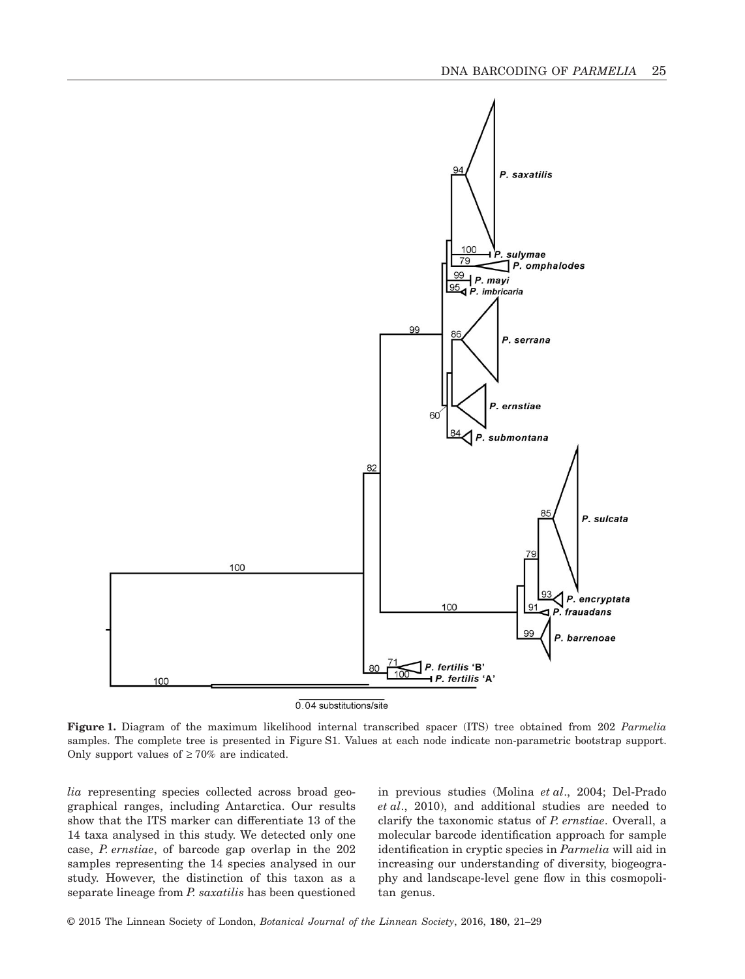

0.04 substitutions/site

**Figure 1.** Diagram of the maximum likelihood internal transcribed spacer (ITS) tree obtained from 202 *Parmelia* samples. The complete tree is presented in Figure S1. Values at each node indicate non-parametric bootstrap support. Only support values of  $\geq 70\%$  are indicated.

*lia* representing species collected across broad geographical ranges, including Antarctica. Our results show that the ITS marker can differentiate 13 of the 14 taxa analysed in this study. We detected only one case, *P. ernstiae*, of barcode gap overlap in the 202 samples representing the 14 species analysed in our study. However, the distinction of this taxon as a separate lineage from *P. saxatilis* has been questioned in previous studies (Molina *et al*., 2004; Del-Prado *et al*., 2010), and additional studies are needed to clarify the taxonomic status of *P. ernstiae*. Overall, a molecular barcode identification approach for sample identification in cryptic species in *Parmelia* will aid in increasing our understanding of diversity, biogeography and landscape-level gene flow in this cosmopolitan genus.

© 2015 The Linnean Society of London, *Botanical Journal of the Linnean Society*, 2016, **180**, 21–29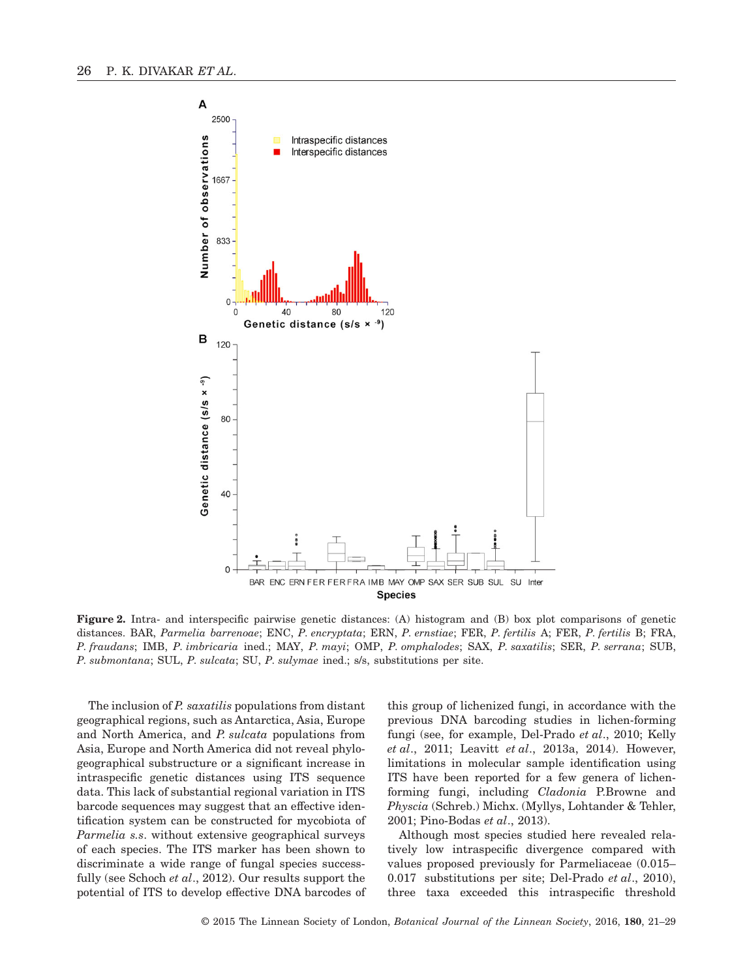

**Figure 2.** Intra- and interspecific pairwise genetic distances: (A) histogram and (B) box plot comparisons of genetic distances. BAR, *Parmelia barrenoae*; ENC, *P. encryptata*; ERN, *P. ernstiae*; FER, *P. fertilis* A; FER, *P. fertilis* B; FRA, *P. fraudans*; IMB, *P. imbricaria* ined.; MAY, *P. mayi*; OMP, *P. omphalodes*; SAX, *P. saxatilis*; SER, *P. serrana*; SUB, *P. submontana*; SUL, *P. sulcata*; SU, *P. sulymae* ined.; s/s, substitutions per site.

The inclusion of *P. saxatilis* populations from distant geographical regions, such as Antarctica, Asia, Europe and North America, and *P. sulcata* populations from Asia, Europe and North America did not reveal phylogeographical substructure or a significant increase in intraspecific genetic distances using ITS sequence data. This lack of substantial regional variation in ITS barcode sequences may suggest that an effective identification system can be constructed for mycobiota of *Parmelia s.s*. without extensive geographical surveys of each species. The ITS marker has been shown to discriminate a wide range of fungal species successfully (see Schoch *et al*., 2012). Our results support the potential of ITS to develop effective DNA barcodes of

this group of lichenized fungi, in accordance with the previous DNA barcoding studies in lichen-forming fungi (see, for example, Del-Prado *et al*., 2010; Kelly *et al*., 2011; Leavitt *et al*., 2013a, 2014). However, limitations in molecular sample identification using ITS have been reported for a few genera of lichenforming fungi, including *Cladonia* P.Browne and *Physcia* (Schreb.) Michx. (Myllys, Lohtander & Tehler, 2001; Pino-Bodas *et al*., 2013).

Although most species studied here revealed relatively low intraspecific divergence compared with values proposed previously for Parmeliaceae (0.015– 0.017 substitutions per site; Del-Prado *et al*., 2010), three taxa exceeded this intraspecific threshold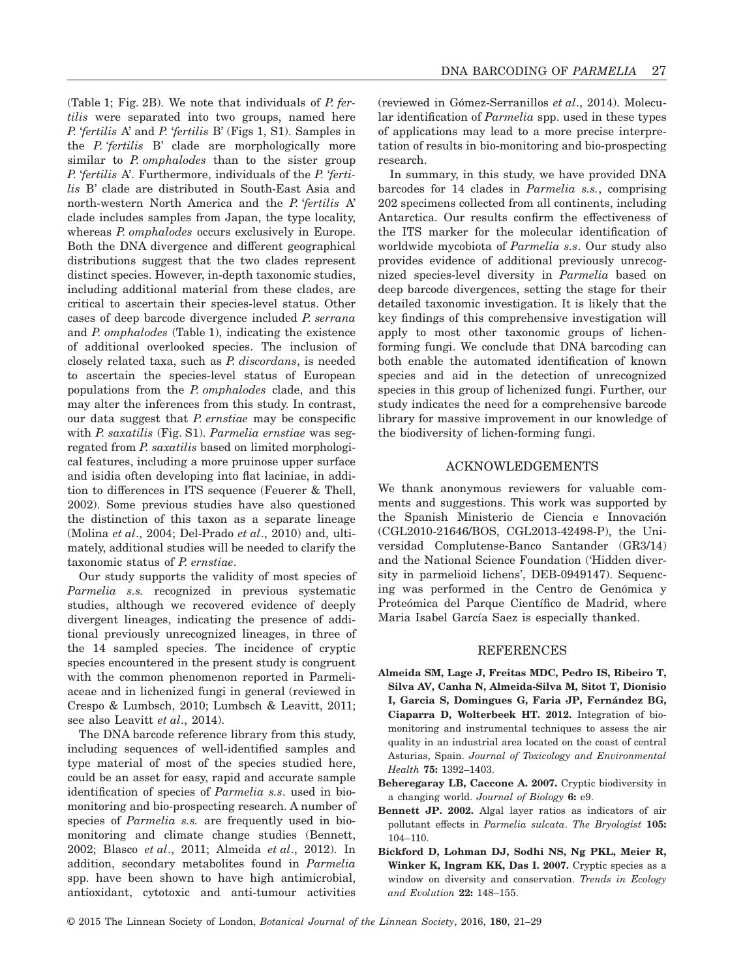(Table 1; Fig. 2B). We note that individuals of *P. fertilis* were separated into two groups, named here *P.* '*fertilis* A' and *P.* '*fertilis* B' (Figs 1, S1). Samples in the *P.* '*fertilis* B' clade are morphologically more similar to *P. omphalodes* than to the sister group *P.* '*fertilis* A'. Furthermore, individuals of the *P.* '*fertilis* B' clade are distributed in South-East Asia and north-western North America and the *P.* '*fertilis* A' clade includes samples from Japan, the type locality, whereas *P. omphalodes* occurs exclusively in Europe. Both the DNA divergence and different geographical distributions suggest that the two clades represent distinct species. However, in-depth taxonomic studies, including additional material from these clades, are critical to ascertain their species-level status. Other cases of deep barcode divergence included *P. serrana* and *P. omphalodes* (Table 1), indicating the existence of additional overlooked species. The inclusion of closely related taxa, such as *P. discordans*, is needed to ascertain the species-level status of European populations from the *P. omphalodes* clade, and this may alter the inferences from this study. In contrast, our data suggest that *P. ernstiae* may be conspecific with *P. saxatilis* (Fig. S1). *Parmelia ernstiae* was segregated from *P. saxatilis* based on limited morphological features, including a more pruinose upper surface and isidia often developing into flat laciniae, in addition to differences in ITS sequence (Feuerer & Thell, 2002). Some previous studies have also questioned the distinction of this taxon as a separate lineage (Molina *et al*., 2004; Del-Prado *et al*., 2010) and, ultimately, additional studies will be needed to clarify the taxonomic status of *P. ernstiae*.

Our study supports the validity of most species of *Parmelia s.s.* recognized in previous systematic studies, although we recovered evidence of deeply divergent lineages, indicating the presence of additional previously unrecognized lineages, in three of the 14 sampled species. The incidence of cryptic species encountered in the present study is congruent with the common phenomenon reported in Parmeliaceae and in lichenized fungi in general (reviewed in Crespo & Lumbsch, 2010; Lumbsch & Leavitt, 2011; see also Leavitt *et al*., 2014).

The DNA barcode reference library from this study, including sequences of well-identified samples and type material of most of the species studied here, could be an asset for easy, rapid and accurate sample identification of species of *Parmelia s.s*. used in biomonitoring and bio-prospecting research. A number of species of *Parmelia s.s.* are frequently used in biomonitoring and climate change studies (Bennett, 2002; Blasco *et al*., 2011; Almeida *et al*., 2012). In addition, secondary metabolites found in *Parmelia* spp. have been shown to have high antimicrobial, antioxidant, cytotoxic and anti-tumour activities (reviewed in Gómez-Serranillos *et al*., 2014). Molecular identification of *Parmelia* spp. used in these types of applications may lead to a more precise interpretation of results in bio-monitoring and bio-prospecting research.

In summary, in this study, we have provided DNA barcodes for 14 clades in *Parmelia s.s.*, comprising 202 specimens collected from all continents, including Antarctica. Our results confirm the effectiveness of the ITS marker for the molecular identification of worldwide mycobiota of *Parmelia s.s*. Our study also provides evidence of additional previously unrecognized species-level diversity in *Parmelia* based on deep barcode divergences, setting the stage for their detailed taxonomic investigation. It is likely that the key findings of this comprehensive investigation will apply to most other taxonomic groups of lichenforming fungi. We conclude that DNA barcoding can both enable the automated identification of known species and aid in the detection of unrecognized species in this group of lichenized fungi. Further, our study indicates the need for a comprehensive barcode library for massive improvement in our knowledge of the biodiversity of lichen-forming fungi.

## ACKNOWLEDGEMENTS

We thank anonymous reviewers for valuable comments and suggestions. This work was supported by the Spanish Ministerio de Ciencia e Innovación (CGL2010-21646/BOS, CGL2013-42498-P), the Universidad Complutense-Banco Santander (GR3/14) and the National Science Foundation ('Hidden diversity in parmelioid lichens', DEB-0949147). Sequencing was performed in the Centro de Genómica y Proteómica del Parque Científico de Madrid, where Maria Isabel García Saez is especially thanked.

### REFERENCES

- **Almeida SM, Lage J, Freitas MDC, Pedro IS, Ribeiro T, Silva AV, Canha N, Almeida-Silva M, Sitot T, Dionisio I, Garcia S, Domingues G, Faria JP, Fernández BG, Ciaparra D, Wolterbeek HT. 2012.** Integration of biomonitoring and instrumental techniques to assess the air quality in an industrial area located on the coast of central Asturias, Spain. *Journal of Toxicology and Environmental Health* **75:** 1392–1403.
- **Beheregaray LB, Caccone A. 2007.** Cryptic biodiversity in a changing world. *Journal of Biology* **6:** e9.
- **Bennett JP. 2002.** Algal layer ratios as indicators of air pollutant effects in *Parmelia sulcata*. *The Bryologist* **105:** 104–110.
- **Bickford D, Lohman DJ, Sodhi NS, Ng PKL, Meier R, Winker K, Ingram KK, Das I. 2007.** Cryptic species as a window on diversity and conservation. *Trends in Ecology and Evolution* **22:** 148–155.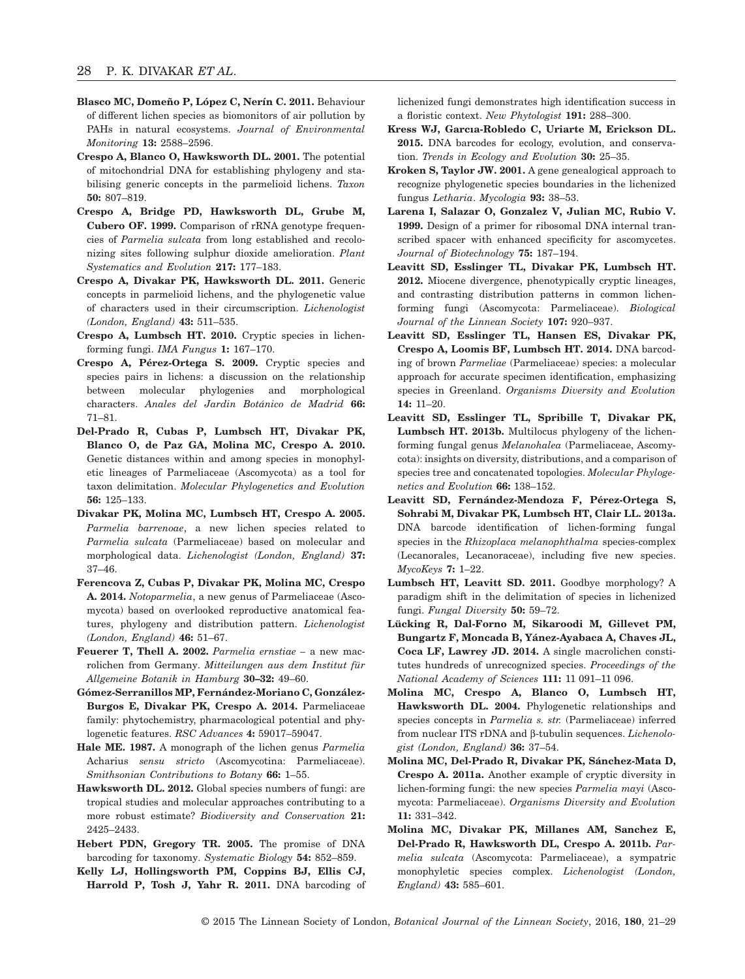- **Blasco MC, Domeño P, López C, Nerín C. 2011.** Behaviour of different lichen species as biomonitors of air pollution by PAHs in natural ecosystems. *Journal of Environmental Monitoring* **13:** 2588–2596.
- **Crespo A, Blanco O, Hawksworth DL. 2001.** The potential of mitochondrial DNA for establishing phylogeny and stabilising generic concepts in the parmelioid lichens. *Taxon* **50:** 807–819.
- **Crespo A, Bridge PD, Hawksworth DL, Grube M, Cubero OF. 1999.** Comparison of rRNA genotype frequencies of *Parmelia sulcata* from long established and recolonizing sites following sulphur dioxide amelioration. *Plant Systematics and Evolution* **217:** 177–183.
- **Crespo A, Divakar PK, Hawksworth DL. 2011.** Generic concepts in parmelioid lichens, and the phylogenetic value of characters used in their circumscription. *Lichenologist (London, England)* **43:** 511–535.
- **Crespo A, Lumbsch HT. 2010.** Cryptic species in lichenforming fungi. *IMA Fungus* **1:** 167–170.
- **Crespo A, Pérez-Ortega S. 2009.** Cryptic species and species pairs in lichens: a discussion on the relationship between molecular phylogenies and morphological characters. *Anales del Jardin Botánico de Madrid* **66:** 71–81.
- **Del-Prado R, Cubas P, Lumbsch HT, Divakar PK, Blanco O, de Paz GA, Molina MC, Crespo A. 2010.** Genetic distances within and among species in monophyletic lineages of Parmeliaceae (Ascomycota) as a tool for taxon delimitation. *Molecular Phylogenetics and Evolution* **56:** 125–133.
- **Divakar PK, Molina MC, Lumbsch HT, Crespo A. 2005.** *Parmelia barrenoae*, a new lichen species related to *Parmelia sulcata* (Parmeliaceae) based on molecular and morphological data. *Lichenologist (London, England)* **37:** 37–46.
- **Ferencova Z, Cubas P, Divakar PK, Molina MC, Crespo A. 2014.** *Notoparmelia*, a new genus of Parmeliaceae (Ascomycota) based on overlooked reproductive anatomical features, phylogeny and distribution pattern. *Lichenologist (London, England)* **46:** 51–67.
- **Feuerer T, Thell A. 2002.** *Parmelia ernstiae –* a new macrolichen from Germany. *Mitteilungen aus dem Institut für Allgemeine Botanik in Hamburg* **30–32:** 49–60.
- **Gómez-Serranillos MP, Fernández-Moriano C, González-Burgos E, Divakar PK, Crespo A. 2014.** Parmeliaceae family: phytochemistry, pharmacological potential and phylogenetic features. *RSC Advances* **4:** 59017–59047.
- **Hale ME. 1987.** A monograph of the lichen genus *Parmelia* Acharius *sensu stricto* (Ascomycotina: Parmeliaceae). *Smithsonian Contributions to Botany* **66:** 1–55.
- **Hawksworth DL. 2012.** Global species numbers of fungi: are tropical studies and molecular approaches contributing to a more robust estimate? *Biodiversity and Conservation* **21:** 2425–2433.
- **Hebert PDN, Gregory TR. 2005.** The promise of DNA barcoding for taxonomy. *Systematic Biology* **54:** 852–859.
- **Kelly LJ, Hollingsworth PM, Coppins BJ, Ellis CJ, Harrold P, Tosh J, Yahr R. 2011.** DNA barcoding of

lichenized fungi demonstrates high identification success in a floristic context. *New Phytologist* **191:** 288–300.

- **Kress WJ, Garcıa-Robledo C, Uriarte M, Erickson DL. 2015.** DNA barcodes for ecology, evolution, and conservation. *Trends in Ecology and Evolution* **30:** 25–35.
- **Kroken S, Taylor JW. 2001.** A gene genealogical approach to recognize phylogenetic species boundaries in the lichenized fungus *Letharia*. *Mycologia* **93:** 38–53.
- **Larena I, Salazar O, Gonzalez V, Julian MC, Rubio V. 1999.** Design of a primer for ribosomal DNA internal transcribed spacer with enhanced specificity for ascomycetes. *Journal of Biotechnology* **75:** 187–194.
- **Leavitt SD, Esslinger TL, Divakar PK, Lumbsch HT. 2012.** Miocene divergence, phenotypically cryptic lineages, and contrasting distribution patterns in common lichenforming fungi (Ascomycota: Parmeliaceae). *Biological Journal of the Linnean Society* **107:** 920–937.
- **Leavitt SD, Esslinger TL, Hansen ES, Divakar PK, Crespo A, Loomis BF, Lumbsch HT. 2014.** DNA barcoding of brown *Parmeliae* (Parmeliaceae) species: a molecular approach for accurate specimen identification, emphasizing species in Greenland. *Organisms Diversity and Evolution* **14:** 11–20.
- **Leavitt SD, Esslinger TL, Spribille T, Divakar PK, Lumbsch HT. 2013b.** Multilocus phylogeny of the lichenforming fungal genus *Melanohalea* (Parmeliaceae, Ascomycota): insights on diversity, distributions, and a comparison of species tree and concatenated topologies. *Molecular Phylogenetics and Evolution* **66:** 138–152.
- **Leavitt SD, Fernández-Mendoza F, Pérez-Ortega S, Sohrabi M, Divakar PK, Lumbsch HT, Clair LL. 2013a.** DNA barcode identification of lichen-forming fungal species in the *Rhizoplaca melanophthalma* species-complex (Lecanorales, Lecanoraceae), including five new species. *MycoKeys* **7:** 1–22.
- **Lumbsch HT, Leavitt SD. 2011.** Goodbye morphology? A paradigm shift in the delimitation of species in lichenized fungi. *Fungal Diversity* **50:** 59–72.
- **Lücking R, Dal-Forno M, Sikaroodi M, Gillevet PM, Bungartz F, Moncada B, Yánez-Ayabaca A, Chaves JL, Coca LF, Lawrey JD. 2014.** A single macrolichen constitutes hundreds of unrecognized species. *Proceedings of the National Academy of Sciences* **111:** 11 091–11 096.
- **Molina MC, Crespo A, Blanco O, Lumbsch HT, Hawksworth DL. 2004.** Phylogenetic relationships and species concepts in *Parmelia s. str.* (Parmeliaceae) inferred from nuclear ITS rDNA and β-tubulin sequences. *Lichenologist (London, England)* **36:** 37–54.
- **Molina MC, Del-Prado R, Divakar PK, Sánchez-Mata D, Crespo A. 2011a.** Another example of cryptic diversity in lichen-forming fungi: the new species *Parmelia mayi* (Ascomycota: Parmeliaceae). *Organisms Diversity and Evolution* **11:** 331–342.
- **Molina MC, Divakar PK, Millanes AM, Sanchez E, Del-Prado R, Hawksworth DL, Crespo A. 2011b.** *Parmelia sulcata* (Ascomycota: Parmeliaceae), a sympatric monophyletic species complex. *Lichenologist (London, England)* **43:** 585–601.